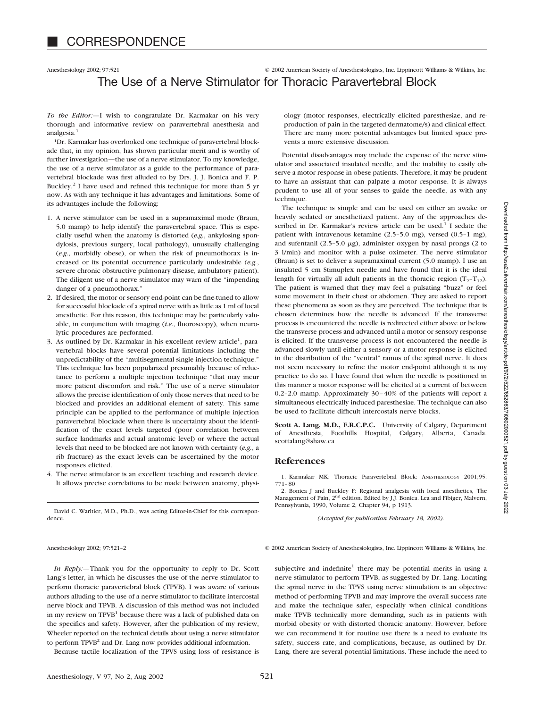# Anesthesiology 2002; 97:521 © 2002 American Society of Anesthesiologists, Inc. Lippincott Williams & Wilkins, Inc. The Use of a Nerve Stimulator for Thoracic Paravertebral Block

*To the Editor:—*I wish to congratulate Dr. Karmakar on his very thorough and informative review on paravertebral anesthesia and analgesia<sup>1</sup>

1Dr. Karmakar has overlooked one technique of paravertebral blockade that, in my opinion, has shown particular merit and is worthy of further investigation—the use of a nerve stimulator. To my knowledge, the use of a nerve stimulator as a guide to the performance of paravertebral blockade was first alluded to by Drs. J. J. Bonica and F. P. Buckley.2 I have used and refined this technique for more than 5 yr now. As with any technique it has advantages and limitations. Some of its advantages include the following:

- 1. A nerve stimulator can be used in a supramaximal mode (Braun, 5.0 mamp) to help identify the paravertebral space. This is especially useful when the anatomy is distorted (*e.g.*, ankylosing spondylosis, previous surgery, local pathology), unusually challenging (*e.g.*, morbidly obese), or when the risk of pneumothorax is increased or its potential occurrence particularly undesirable (*e.g.*, severe chronic obstructive pulmonary disease, ambulatory patient). The diligent use of a nerve stimulator may warn of the "impending danger of a pneumothorax."
- 2. If desired, the motor or sensory end-point can be fine-tuned to allow for successful blockade of a spinal nerve with as little as 1 ml of local anesthetic. For this reason, this technique may be particularly valuable, in conjunction with imaging (*i.e.*, fluoroscopy), when neurolytic procedures are performed.
- 3. As outlined by Dr. Karmakar in his excellent review article<sup>1</sup>, paravertebral blocks have several potential limitations including the unpredictability of the "multisegmental single injection technique." This technique has been popularized presumably because of reluctance to perform a multiple injection technique "that may incur more patient discomfort and risk." The use of a nerve stimulator allows the precise identification of only those nerves that need to be blocked and provides an additional element of safety. This same principle can be applied to the performance of multiple injection paravertebral blockade when there is uncertainty about the identification of the exact levels targeted (poor correlation between surface landmarks and actual anatomic level) or where the actual levels that need to be blocked are not known with certainty (*e.g.*, a rib fracture) as the exact levels can be ascertained by the motor responses elicited.
- 4. The nerve stimulator is an excellent teaching and research device. It allows precise correlations to be made between anatomy, physi-

David C. Warltier, M.D., Ph.D., was acting Editor-in-Chief for this correspondence.

ology (motor responses, electrically elicited paresthesiae, and reproduction of pain in the targeted dermatome/s) and clinical effect. There are many more potential advantages but limited space prevents a more extensive discussion.

Potential disadvantages may include the expense of the nerve stimulator and associated insulated needle, and the inability to easily observe a motor response in obese patients. Therefore, it may be prudent to have an assistant that can palpate a motor response. It is always prudent to use all of your senses to guide the needle, as with any technique.

The technique is simple and can be used on either an awake or heavily sedated or anesthetized patient. Any of the approaches described in Dr. Karmakar's review article can be used.<sup>1</sup> I sedate the patient with intravenous ketamine (2.5–5.0 mg), versed (0.5–1 mg), and sufentanil (2.5–5.0  $\mu$ g), administer oxygen by nasal prongs (2 to 3 l/min) and monitor with a pulse oximeter. The nerve stimulator (Braun) is set to deliver a supramaximal current (5.0 mamp). I use an insulated 5 cm Stimuplex needle and have found that it is the ideal length for virtually all adult patients in the thoracic region  $(T_2-T_{12})$ . The patient is warned that they may feel a pulsating "buzz" or feel some movement in their chest or abdomen. They are asked to report these phenomena as soon as they are perceived. The technique that is chosen determines how the needle is advanced. If the transverse process is encountered the needle is redirected either above or below the transverse process and advanced until a motor or sensory response is elicited. If the transverse process is not encountered the needle is advanced slowly until either a sensory or a motor response is elicited in the distribution of the "ventral" ramus of the spinal nerve. It does not seem necessary to refine the motor end-point although it is my practice to do so. I have found that when the needle is positioned in this manner a motor response will be elicited at a current of between 0.2–2.0 mamp. Approximately 30–40% of the patients will report a simultaneous electrically induced paresthesiae. The technique can also be used to facilitate difficult intercostals nerve blocks.

**Scott A. Lang, M.D., F.R.C.P.C.** University of Calgary, Department of Anesthesia, Foothills Hospital, Calgary, Alberta, Canada. scottalang@shaw.ca

# **References**

1. Karmakar MK: Thoracic Paravertebral Block: ANESTHESIOLOGY 2001;95: 771–80

2. Bonica J and Buckley F: Regional analgesia with local anesthetics, The Management of Pain, 2<sup>nd</sup> edition. Edited by J.J. Bonica. Lea and Fibiger, Malvern, Pennsylvania, 1990, Volume 2, Chapter 94, p 1913.

*(Accepted for publication February 18, 2002).*

Anesthesiology 2002; 97:521-2 © 2002 American Society of Anesthesiologists, Inc. Lippincott Williams & Wilkins, Inc.

*In Reply:—*Thank you for the opportunity to reply to Dr. Scott Lang's letter, in which he discusses the use of the nerve stimulator to perform thoracic paravertebral block (TPVB). I was aware of various authors alluding to the use of a nerve stimulator to facilitate intercostal nerve block and TPVB. A discussion of this method was not included in my review on TPVB<sup>1</sup> because there was a lack of published data on the specifics and safety. However, after the publication of my review, Wheeler reported on the technical details about using a nerve stimulator to perform TPVB<sup>2</sup> and Dr. Lang now provides additional information.

Because tactile localization of the TPVS using loss of resistance is

subjective and indefinite<sup>1</sup> there may be potential merits in using a nerve stimulator to perform TPVB, as suggested by Dr. Lang. Locating the spinal nerve in the TPVS using nerve stimulation is an objective method of performing TPVB and may improve the overall success rate and make the technique safer, especially when clinical conditions make TPVB technically more demanding, such as in patients with morbid obesity or with distorted thoracic anatomy. However, before we can recommend it for routine use there is a need to evaluate its safety, success rate, and complications, because, as outlined by Dr. Lang, there are several potential limitations. These include the need to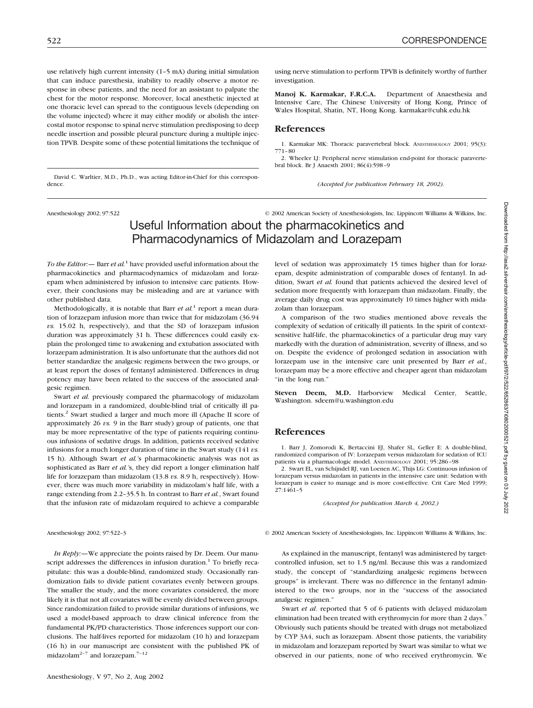dence.

use relatively high current intensity (1–5 mA) during initial simulation that can induce paresthesia, inability to readily observe a motor response in obese patients, and the need for an assistant to palpate the chest for the motor response. Moreover, local anesthetic injected at one thoracic level can spread to the contiguous levels (depending on the volume injected) where it may either modify or abolish the intercostal motor response to spinal nerve stimulation predisposing to deep needle insertion and possible pleural puncture during a multiple injection TPVB. Despite some of these potential limitations the technique of

David C. Warltier, M.D., Ph.D., was acting Editor-in-Chief for this correspon-

using nerve stimulation to perform TPVB is definitely worthy of further investigation.

**Manoj K. Karmakar, F.R.C.A.** Department of Anaesthesia and Intensive Care, The Chinese University of Hong Kong, Prince of Wales Hospital, Shatin, NT, Hong Kong. karmakar@cuhk.edu.hk

## **References**

1. Karmakar MK: Thoracic paravertebral block. ANESTHESIOLOGY 2001; 95(3): 771–80

2. Wheeler LJ: Peripheral nerve stimulation end-point for thoracic paravertebral block. Br J Anaesth 2001; 86(4):598–9

*(Accepted for publication February 18, 2002).*

Anesthesiology 2002; 97:522 © 2002 American Society of Anesthesiologists, Inc. Lippincott Williams & Wilkins, Inc.

# Useful Information about the pharmacokinetics and Pharmacodynamics of Midazolam and Lorazepam

*To the Editor:—* Barr *et al.*<sup>1</sup> have provided useful information about the pharmacokinetics and pharmacodynamics of midazolam and lorazepam when administered by infusion to intensive care patients. However, their conclusions may be misleading and are at variance with other published data.

Methodologically, it is notable that Barr *et al.*<sup>1</sup> report a mean duration of lorazepam infusion more than twice that for midazolam (36.94 *vs.* 15.02 h, respectively), and that the SD of lorazepam infusion duration was approximately 31 h. These differences could easily explain the prolonged time to awakening and extubation associated with lorazepam administration. It is also unfortunate that the authors did not better standardize the analgesic regimens between the two groups, or at least report the doses of fentanyl administered. Differences in drug potency may have been related to the success of the associated analgesic regimen.

Swart *et al.* previously compared the pharmacology of midazolam and lorazepam in a randomized, double-blind trial of critically ill patients.<sup>2</sup> Swart studied a larger and much more ill (Apache II score of approximately 26 *vs.* 9 in the Barr study) group of patients, one that may be more representative of the type of patients requiring continuous infusions of sedative drugs. In addition, patients received sedative infusions for a much longer duration of time in the Swart study (141 *vs.* 15 h). Although Swart *et al.'*s pharmacokinetic analysis was not as sophisticated as Barr *et al.'*s, they did report a longer elimination half life for lorazepam than midazolam (13.8 *vs.* 8.9 h, respectively). However, there was much more variability in midazolam's half life, with a range extending from 2.2–35.5 h. In contrast to Barr *et al.*, Swart found that the infusion rate of midazolam required to achieve a comparable

*In Reply:—*We appreciate the points raised by Dr. Deem. Our manuscript addresses the differences in infusion duration.<sup>1</sup> To briefly recapitulate: this was a double-blind, randomized study. Occasionally randomization fails to divide patient covariates evenly between groups. The smaller the study, and the more covariates considered, the more likely it is that not all covariates will be evenly divided between groups. Since randomization failed to provide similar durations of infusions, we used a model-based approach to draw clinical inference from the fundamental PK/PD characteristics. Those inferences support our conclusions. The half-lives reported for midazolam (10 h) and lorazepam (16 h) in our manuscript are consistent with the published PK of midazolam<sup>2-7</sup> and lorazepam.<sup>7-12</sup>

level of sedation was approximately 15 times higher than for lorazepam, despite administration of comparable doses of fentanyl. In addition, Swart *et al.* found that patients achieved the desired level of sedation more frequently with lorazepam than midazolam. Finally, the average daily drug cost was approximately 10 times higher with midazolam than lorazepam.

A comparison of the two studies mentioned above reveals the complexity of sedation of critically ill patients. In the spirit of contextsensitive half-life, the pharmacokinetics of a particular drug may vary markedly with the duration of administration, severity of illness, and so on. Despite the evidence of prolonged sedation in association with lorazepam use in the intensive care unit presented by Barr *et al.*, lorazepam may be a more effective and cheaper agent than midazolam "in the long run."

**Steven Deem, M.D.** Harborview Medical Center, Seattle, Washington. sdeem@u.washington.edu

### **References**

1. Barr J, Zomorodi K, Bertaccini EJ, Shafer SL, Geller E: A double-blind, randomized comparison of IV: Lorazepam versus midazolam for sedation of ICU patients via a pharmacologic model. ANESTHESIOLOGY 2001; 95:286–98

2. Swart EL, van Schijndel RJ, van Loenen AC, Thijs LG: Continuous infusion of lorazepam versus midazolam in patients in the intensive care unit: Sedation with lorazepam is easier to manage and is more cost-effective. Crit Care Med 1999; 27:1461–5

*(Accepted for publication March 4, 2002.)*

Anesthesiology 2002; 97:522-3 © 2002 American Society of Anesthesiologists, Inc. Lippincott Williams & Wilkins, Inc.

As explained in the manuscript, fentanyl was administered by targetcontrolled infusion, set to 1.5 ng/ml. Because this was a randomized study, the concept of "standardizing analgesic regimens between groups" is irrelevant. There was no difference in the fentanyl administered to the two groups, nor in the "success of the associated analgesic regimen."

Swart *et al*. reported that 5 of 6 patients with delayed midazolam elimination had been treated with erythromycin for more than 2 days.<sup>7</sup> Obviously such patients should be treated with drugs not metabolized by CYP 3A4, such as lorazepam. Absent those patients, the variability in midazolam and lorazepam reported by Swart was similar to what we observed in our patients, none of who received erythromycin. We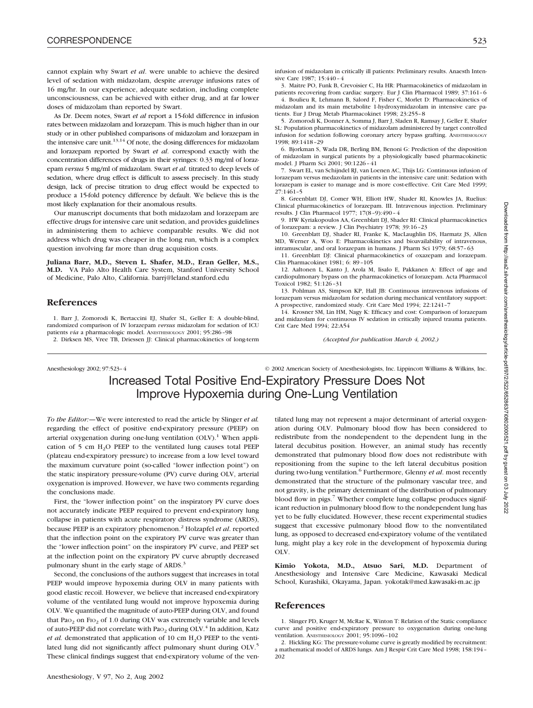cannot explain why Swart *et al*. were unable to achieve the desired level of sedation with midazolam, despite *average* infusions rates of 16 mg/hr. In our experience, adequate sedation, including complete unconsciousness, can be achieved with either drug, and at far lower doses of midazolam than reported by Swart.

As Dr. Deem notes, Swart *et al* report a 15-fold difference in infusion rates between midazolam and lorazepam. This is much higher than in our study or in other published comparisons of midazolam and lorazepam in the intensive care unit. $13,14$  Of note, the dosing differences for midazolam and lorazepam reported by Swart *et al*. correspond exactly with the concentration differences of drugs in their syringes: 0.33 mg/ml of lorazepam *versus* 5 mg/ml of midazolam. Swart *et al*. titrated to deep levels of sedation, where drug effect is difficult to assess precisely. In this study design, lack of precise titration to drug effect would be expected to produce a 15-fold potency difference by default. We believe this is the most likely explanation for their anomalous results.

Our manuscript documents that both midazolam and lorazepam are effective drugs for intensive care unit sedation, and provides guidelines in administering them to achieve comparable results. We did not address which drug was cheaper in the long run, which is a complex question involving far more than drug acquisition costs.

**Juliana Barr, M.D., Steven L. Shafer, M.D., Eran Geller, M.S., M.D.** VA Palo Alto Health Care System, Stanford University School of Medicine, Palo Alto, California. barrj@leland.stanford.edu

# **References**

1. Barr J, Zomorodi K, Bertaccini EJ, Shafer SL, Geller E: A double-blind, randomized comparison of IV lorazepam *versus* midazolam for sedation of ICU patients *via* a pharmacologic model. ANESTHESIOLOGY 2001; 95:286–98

2. Dirksen MS, Vree TB, Driessen JJ: Clinical pharmacokinetics of long-term

infusion of midazolam in critically ill patients: Preliminary results. Anaesth Intensive Care 1987; 15:440–4

3. Maitre PO, Funk B, Crevoisier C, Ha HR: Pharmacokinetics of midazolam in patients recovering from cardiac surgery. Eur J Clin Pharmacol 1989; 37:161–6 4. Boulieu R, Lehmann B, Salord F, Fisher C, Morlet D: Pharmacokinetics of

midazolam and its main metabolite 1-hydroxymidazolam in intensive care patients. Eur J Drug Metab Pharmacokinet 1998; 23:255–8

5. Zomorodi K, Donner A, Somma J, Barr J, Sladen R, Ramsay J, Geller E, Shafer SL: Population pharmacokinetics of midazolam administered by target controlled infusion for sedation following coronary artery bypass grafting. ANESTHESIOLOGY 1998; 89:1418–29

6. Bjorkman S, Wada DR, Berling BM, Benoni G: Prediction of the disposition of midazolam in surgical patients by a physiologically based pharmacokinetic model. J Pharm Sci 2001; 90:1226–41

7. Swart EL, van Schijndel RJ, van Loenen AC, Thijs LG: Continuous infusion of lorazepam versus medazolam in patients in the intensive care unit: Sedation with lorazepam is easier to manage and is more cost-effective. Crit Care Med 1999; 27:1461–5

8. Greenblatt DJ, Comer WH, Elliott HW, Shader RI, Knowles JA, Ruelius: Clinical pharmacokinetics of lorazepam. III. Intravenous injection. Preliminary results. J Clin Pharmacol 1977; 17(8–9):490–4

9. HW Kyriakopoulos AA, Greenblatt DJ, Shader RI: Clinical pharmacokinetics of lorazepam: a review. J Clin Psychiatry 1978; 39:16–23

10. Greenblatt DJ, Shader RI, Franke K, MacLaughlin DS, Harmatz JS, Allen MD, Werner A, Woo E: Pharmacokinetics and bioavailability of intravenous, intramuscular, and oral lorazepam in humans. J Pharm Sci 1979; 68:57–63

11. Greenblatt DJ: Clinical pharmacokinetics of oxazepam and lorazepam. Clin Pharmacokinet 1981; 6: 89–105

12. Aaltonen L, Kanto J, Arola M, Iisalo E, Pakkanen A: Effect of age and cardiopulmonary bypass on the pharmacokinetics of lorazepam. Acta Pharmacol Toxicol 1982; 51:126–31

13. Pohlman AS, Simpson KP, Hall JB: Continuous intravenous infusions of lorazepam versus midazolam for sedation during mechanical ventilatory support: A prospective, randomized study. Crit Care Med 1994; 22:1241–7

14. Krosner SM, Lin HM, Nagy K: Efficacy and cost: Comparison of lorazepam and midazolam for continuous IV sedation in critically injured trauma patients. Crit Care Med 1994; 22:A54

*(Accepted for publication March 4, 2002.)*

Anesthesiology 2002; 97:523–4 © 2002 American Society of Anesthesiologists, Inc. Lippincott Williams & Wilkins, Inc. Increased Total Positive End-Expiratory Pressure Does Not Improve Hypoxemia during One-Lung Ventilation

*To the Editor:—*We were interested to read the article by Slinger *et al.* regarding the effect of positive end-expiratory pressure (PEEP) on arterial oxygenation during one-lung ventilation  $(OLV)$ .<sup>1</sup> When application of 5 cm  $H_2O$  PEEP to the ventilated lung causes total PEEP (plateau end-expiratory pressure) to increase from a low level toward the maximum curvature point (so-called "lower inflection point") on the static inspiratory pressure-volume (PV) curve during OLV, arterial oxygenation is improved. However, we have two comments regarding the conclusions made.

First, the "lower inflection point" on the inspiratory PV curve does not accurately indicate PEEP required to prevent end-expiratory lung collapse in patients with acute respiratory distress syndrome (ARDS), because PEEP is an expiratory phenomenon.2 Holzapfel *et al*. reported that the inflection point on the expiratory PV curve was greater than the "lower inflection point" on the inspiratory PV curve, and PEEP set at the inflection point on the expiratory PV curve abruptly decreased pulmonary shunt in the early stage of ARDS.<sup>3</sup>

Second, the conclusions of the authors suggest that increases in total PEEP would improve hypoxemia during OLV in many patients with good elastic recoil. However, we believe that increased end-expiratory volume of the ventilated lung would not improve hypoxemia during OLV. We quantified the magnitude of auto-PEEP during OLV, and found that Pa $o_2$  on Fi $o_2$  of 1.0 during OLV was extremely variable and levels of auto-PEEP did not correlate with Pa $_{2}$  during OLV.<sup>4</sup> In addition, Katz *et al.* demonstrated that application of 10 cm  $H_2O$  PEEP to the ventilated lung did not significantly affect pulmonary shunt during OLV.<sup>5</sup> These clinical findings suggest that end-expiratory volume of the ven-

tilated lung may not represent a major determinant of arterial oxygenation during OLV. Pulmonary blood flow has been considered to redistribute from the nondependent to the dependent lung in the lateral decubitus position. However, an animal study has recently demonstrated that pulmonary blood flow does not redistribute with repositioning from the supine to the left lateral decubitus position during two-lung ventilation.<sup>6</sup> Furthermore, Glenny *et al.* most recently demonstrated that the structure of the pulmonary vascular tree, and not gravity, is the primary determinant of the distribution of pulmonary blood flow in pigs.<sup>7</sup> Whether complete lung collapse produces significant reduction in pulmonary blood flow to the nondependent lung has yet to be fully elucidated. However, these recent experimental studies suggest that excessive pulmonary blood flow to the nonventilated lung, as opposed to decreased end-expiratory volume of the ventilated lung, might play a key role in the development of hypoxemia during OLV.

**Kimio Yokota, M.D., Atsuo Sari, M.D.** Department of Anesthesiology and Intensive Care Medicine, Kawasaki Medical School, Kurashiki, Okayama, Japan. yokotak@med.kawasaki-m.ac.jp

### **References**

1. Slinger PD, Kruger M, McRae K, Winton T: Relation of the Static compliance curve and positive end-expiratory pressure to oxygenation during one-lung ventilation. ANESTHESIOLOGY 2001; 95:1096–102

2. Hickling KG: The pressure-volume curve is greatly modified by recruitment: a mathematical model of ARDS lungs. Am J Respir Crit Care Med 1998; 158:194– 202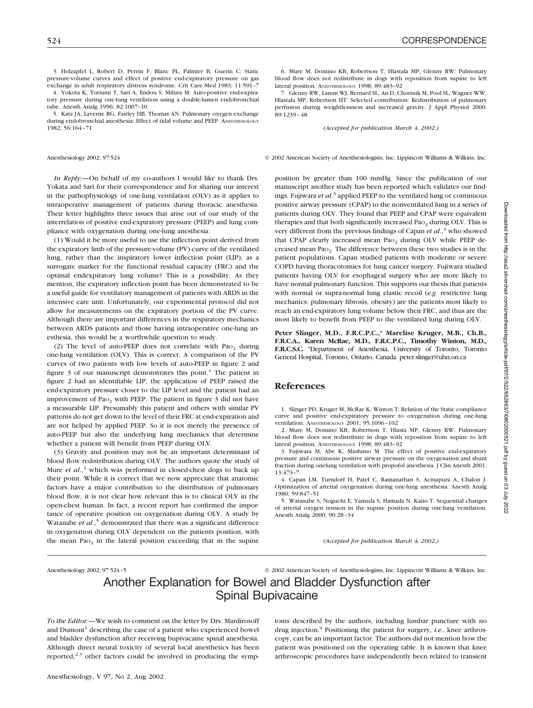3. Holzapfel L, Robert D, Perrin F, Blanc PL, Palmier B, Guerin C: Static pressure-volume curves and effect of positive end-expiratory pressure on gas exchange in adult respiratory distress syndrome. Crit Care Med 1983; 11:591–7

4. Yokota K, Toriumi T, Sari A, Endou S, Mihira M: Auto-positive end-expiratory pressure during one-lung ventilation using a double-lumen endobronchial tube. Anesth Analg 1996; 82:1007–10

5. Katz JA, Laverne RG, Fairley HB, Thomas AN: Pulmonary oxygen exchange during endobronchial anesthesia: Effect of tidal volume and PEEP. ANESTHESIOLOGY 1982; 56:164–71

*In Reply:—*On behalf of my co-authors I would like to thank Drs. Yokata and Sari for their correspondence and for sharing our interest in the pathophysiology of one-lung ventilation (OLV) as it applies to intraoperative management of patients during thoracic anesthesia. Their letter highlights three issues that arise out of our study of the interrelation of positive end-expiratory pressure (PEEP) and lung compliance with oxygenation during one-lung anesthesia:

(1) Would it be more useful to use the inflection point derived from the expiratory limb of the pressure-volume (PV) curve of the ventilated lung, rather than the inspiratory lower inflection point (LIP), as a surrogate marker for the functional residual capacity (FRC) and the optimal endexpiratory lung volume? This is a possibility. As they mention, the expiratory inflection point has been demonstrated to be a useful guide for ventilatory management of patients with ARDS in the intensive care unit. Unfortunately, our experimental protocol did not allow for measurements on the expiratory portion of the PV curve. Although there are important differences in the respiratory mechanics between ARDS patients and those having intraoperative one-lung anesthesia, this would be a worthwhile question to study.

(2) The level of auto-PEEP does not correlate with Pa $o<sub>2</sub>$  during one-lung ventilation (OLV). This is correct. A comparison of the PV curves of two patients with low levels of auto-PEEP in figure 2 and figure  $\beta$  of our manuscript demonstrates this point.<sup>1</sup> The patient in figure 2 had an identifiable LIP, the application of PEEP raised the end-expiratory pressure closer to the LIP level and the patient had an improvement of Pao<sub>2</sub> with PEEP. The patient in figure 3 did not have a measurable LIP. Presumably this patient and others with similar PV patterns do not get down to the level of their FRC at end-expiration and are not helped by applied PEEP. So it is not merely the presence of auto-PEEP but also the underlying lung mechanics that determine whether a patient will benefit from PEEP during OLV.

(3) Gravity and position may not be an important determinant of blood flow redistribution during OLV. The authors quote the study of Mure *et al.*,<sup>2</sup> which was performed in closed-chest dogs to back up their point. While it is correct that we now appreciate that anatomic factors have a major contribution to the distribution of pulmonary blood flow, it is not clear how relevant this is to clinical OLV in the open-chest human. In fact, a recent report has confirmed the importance of operative position on oxygenation during OLV. A study by Watanabe *et al.*,<sup>5</sup> demonstrated that there was a significant difference in oxygenation during OLV dependent on the patients position, with the mean Pa $o<sub>2</sub>$  in the lateral position exceeding that in the supine

6. Mure M, Domino KB, Robertson T, Hlastala MP, Glenny RW: Pulmonary blood flow does not redistribute in dogs with reposition from supine to left lateral position. ANESTHESIOLOGY 1998; 89:483–92

7. Glenny RW, Lamm WJ, Bernard SL, An D, Chornuk M, Pool SL, Wagner WW, Hlastala MP, Robertson HT: Selected contribution: Redistribution of pulmonary perfusion during weightlessness and increased gravity. J Appl Physiol 2000; 89:1239–48

*(Accepted for publication March 4, 2002.)*

Anesthesiology 2002; 97:524 © 2002 American Society of Anesthesiologists, Inc. Lippincott Williams & Wilkins, Inc.

position by greater than 100 mmHg. Since the publication of our manuscript another study has been reported which validates our findings. Fujiwara *et al*. <sup>3</sup> applied PEEP to the ventilated lung or continuous positive airway pressure (CPAP) to the nonventilated lung in a series of patients during OLV. They found that PEEP and CPAP were equivalent therapies and that both significantly increased Pa $o<sub>2</sub>$  during OLV. This is very different from the previous findings of Capan *et al.*,<sup>4</sup> who showed that CPAP clearly increased mean Pao<sub>2</sub> during OLV while PEEP decreased mean PaO2. The difference between these two studies is in the patient populations. Capan studied patients with moderate or severe COPD having thoracotomies for lung cancer surgery. Fujiwara studied patients having OLV for esophageal surgery who are more likely to have normal pulmonary function. This supports our thesis that patients with normal or supra-normal lung elastic recoil (*e.g*. restrictive lung mechanics: pulmonary fibrosis, obesity) are the patients most likely to reach an end-expiratory lung volume below their FRC, and thus are the most likely to benefit from PEEP to the ventilated lung during OLV.

**Peter Slinger, M.D., F.R.C.P.C.,\* Marelise Kruger, M.B., Ch.B., F.R.C.A., Karen McRae, M.D., F.R.C.P.C., Timothy Winton, M.D., F.R.C.S.C.** \*Department of Anesthesia, University of Toronto, Toronto General Hospital, Toronto, Ontario, Canada. peter.slinger@uhn.on.ca

# **References**

1. Slinger PD, Kruger M, McRae K, Winton T: Relation of the Static compliance curve and positive end-expiratory pressure to oxygenation during one-lung ventilation. ANESTHESIOLOGY 2001; 95:1096–102

2. Mure M, Domino KB, Robertson T, Hlasta MP, Glenny RW. Pulmonary blood flow does not redistribute in dogs with reposition from supine to left lateral position. ANESTHESIOLOGY 1998; 89:483–92

3. Fujiwara M, Abe K, Mashimo M. The effect of positive end-expiratory pressure and continuous positive airway pressure on the oxygenation and shunt fraction during onelung ventilation with propofol anesthesia. J Clin Anesth 2001; 13:473–7.

4. Capan LM, Turndorf H, Patel C, Ramanathan S, Acinapura A, Chalon J. Optimization of arterial oxygenation during one-lung anesthesia. Anesth Analg 1980; 59:847–51

5. Watanabe S, Noguchi E, Yamada S, Hamada N, Kano T. Sequential changes of arterial oxygen tension in the supine position during one-lung ventilation. Anesth Analg 2000; 90:28–34

*(Accepted for publication March 4, 2002.)*

Anesthesiology 2002; 97:524–5 © 2002 American Society of Anesthesiologists, Inc. Lippincott Williams & Wilkins, Inc.

# Another Explanation for Bowel and Bladder Dysfunction after Spinal Bupivacaine

*To the Editor:—*We wish to comment on the letter by Drs. Mardirosoff and Dumont<sup>1</sup> describing the case of a patient who experienced bowel and bladder dysfunction after receiving bupivacaine spinal anesthesia. Although direct neural toxicity of several local anesthetics has been reported, $2,3$  other factors could be involved in producing the symptoms described by the authors, including lumbar puncture with no drug injection.<sup>4</sup> Positioning the patient for surgery, *i.e.*, knee arthroscopy, can be an important factor. The authors did not mention how the patient was positioned on the operating table. It is known that knee arthroscopic procedures have independently been related to transient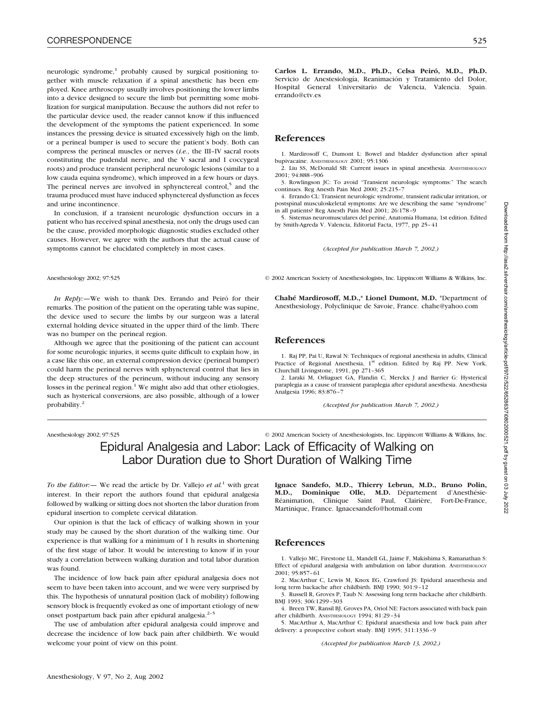neurologic syndrome, $1$  probably caused by surgical positioning together with muscle relaxation if a spinal anesthetic has been employed. Knee arthroscopy usually involves positioning the lower limbs into a device designed to secure the limb but permitting some mobilization for surgical manipulation. Because the authors did not refer to the particular device used, the reader cannot know if this influenced the development of the symptoms the patient experienced. In some instances the pressing device is situated excessively high on the limb, or a perineal bumper is used to secure the patient's body. Both can compress the perineal muscles or nerves (*i.e.*, the III–IV sacral roots constituting the pudendal nerve, and the V sacral and I coccygeal roots) and produce transient peripheral neurologic lesions (similar to a low cauda equina syndrome), which improved in a few hours or days. The perineal nerves are involved in sphynctereal control, $5$  and the trauma produced must have induced sphynctereal dysfunction as feces and urine incontinence.

In conclusion, if a transient neurologic dysfunction occurs in a patient who has received spinal anesthesia, not only the drugs used can be the cause, provided morphologic diagnostic studies excluded other causes. However, we agree with the authors that the actual cause of symptoms cannot be elucidated completely in most cases.

*In Reply:—*We wish to thank Drs. Errando and Peiró for their remarks. The position of the patient on the operating table was supine, the device used to secure the limbs by our surgeon was a lateral external holding device situated in the upper third of the limb. There was no bumper on the perineal region.

Although we agree that the positioning of the patient can account for some neurologic injuries, it seems quite difficult to explain how, in a case like this one, an external compression device (perineal bumper) could harm the perineal nerves with sphynctereal control that lies in the deep structures of the perineum, without inducing any sensory losses in the perineal region. $1$  We might also add that other etiologies, such as hysterical conversions, are also possible, although of a lower probability.2

Anesthesiology 2002; 97:525 © 2002 American Society of Anesthesiologists, Inc. Lippincott Williams & Wilkins, Inc.

# Epidural Analgesia and Labor: Lack of Efficacity of Walking on Labor Duration due to Short Duration of Walking Time

*To the Editor:—* We read the article by Dr. Vallejo *et al.*<sup>1</sup> with great interest. In their report the authors found that epidural analgesia followed by walking or sitting does not shorten the labor duration from epidural insertion to complete cervical dilatation.

Our opinion is that the lack of efficacy of walking shown in your study may be caused by the short duration of the walking time. Our experience is that walking for a minimum of 1 h results in shortening of the first stage of labor. It would be interesting to know if in your study a correlation between walking duration and total labor duration was found.

The incidence of low back pain after epidural analgesia does not seem to have been taken into account, and we were very surprised by this. The hypothesis of unnatural position (lack of mobility) following sensory block is frequently evoked as one of important etiology of new onset postpartum back pain after epidural analgesia.<sup>2-5</sup>

The use of ambulation after epidural analgesia could improve and decrease the incidence of low back pain after childbirth. We would welcome your point of view on this point.

**Carlos L. Errando, M.D., Ph.D., Celsa Peiró, M.D., Ph.D.** Servicio de Anestesiología, Reanimación y Tratamiento del Dolor, Hospital General Universitario de Valencia, Valencia. Spain. errando@ctv.es

# **References**

1. Mardirosoff C, Dumont L: Bowel and bladder dysfunction after spinal bupivacaine. ANESTHESIOLOGY 2001; 95:1306

2. Liu SS, McDonald SB: Current issues in spinal anesthesia. ANESTHESIOLOGY 2001; 94:888–906

3. Rowlingson JC: To avoid "Transient neurologic symptoms:" The search continues. Reg Anesth Pain Med 2000; 25:215–7

4. Errando CL: Transient neurologic syndrome, transient radicular irritation, or postspinal musculoskeletal symptoms: Are we describing the same "syndrome" in all patients? Reg Anesth Pain Med 2001; 26:178–9

5. Sistemas neuromusculares del periné, Anatomía Humana, 1st edition. Edited by Smith-Agreda V. Valencia, Editorial Facta, 1977, pp 25–41

*(Accepted for publication March 7, 2002.)*

Anesthesiology 2002; 97:525 © 2002 American Society of Anesthesiologists, Inc. Lippincott Williams & Wilkins, Inc.

**Chahé Mardirosoff, M.D.,\* Lionel Dumont, M.D.** \*Department of Anesthesiology, Polyclinique de Savoie, France. chahe@yahoo.com

# **References**

1. Raj PP, Pai U, Rawal N: Techniques of regional anesthesia in adults, Clinical Practice of Regional Anesthesia, 1<sup>st</sup> edition. Edited by Raj PP. New York, Churchill Livingstone, 1991, pp 271–365

2. Laraki M, Orliaguet GA, Flandin C, Merckx J and Barrier G: Hysterical paraplegia as a cause of transient paraplegia after epidural anesthesia. Anesthesia Analgesia 1996; 83:876–7

*(Accepted for publication March 7, 2002.)*

**Ignace Sandefo, M.D., Thierry Lebrun, M.D., Bruno Polin, M.D., Dominique Olle, M.D.** Département d'Anesthésie-Réanimation, Clinique Saint Paul, Clairière, Fort-De-France, Martinique, France. Ignacesandefo@hotmail.com

# **References**

1. Vallejo MC, Firestone LL, Mandell GL, Jaime F, Makishima S, Ramanathan S: Effect of epidural analgesia with ambulation on labor duration. ANESTHESIOLOGY 2001; 95:857–61

2. MacArthur C, Lewis M, Knox EG, Crawford JS: Epidural anaesthesia and long term backache after childbirth. BMJ 1990; 301:9–12

3. Russell R, Groves P, Taub N: Assessing long term backache after childbirth. BMJ 1993; 306:1299–303

4. Breen TW, Ransil BJ, Groves PA, Oriol NE: Factors associated with back pain after childbirth. ANESTHESIOLOGY 1994; 81:29–34

5. MacArthur A, MacArthur C: Epidural anaesthesia and low back pain after delivery: a prospective cohort study. BMJ 1995; 311:1336–9

*(Accepted for publication March 13, 2002.)*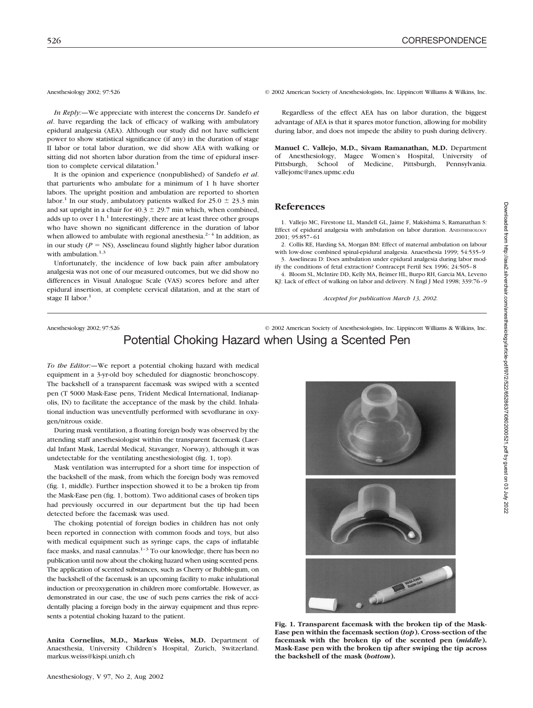*In Reply:—*We appreciate with interest the concerns Dr. Sandefo *et al*. have regarding the lack of efficacy of walking with ambulatory epidural analgesia (AEA). Although our study did not have sufficient power to show statistical significance (if any) in the duration of stage II labor or total labor duration, we did show AEA with walking or sitting did not shorten labor duration from the time of epidural insertion to complete cervical dilatation.<sup>1</sup>

It is the opinion and experience (nonpublished) of Sandefo *et al*. that parturients who ambulate for a minimum of 1 h have shorter labors. The upright position and ambulation are reported to shorten labor.<sup>1</sup> In our study, ambulatory patients walked for  $25.0 \pm 23.3$  min and sat upright in a chair for  $40.3 \pm 29.7$  min which, when combined, adds up to over 1 h.<sup>1</sup> Interestingly, there are at least three other groups who have shown no significant difference in the duration of labor when allowed to ambulate with regional anesthesia.<sup>2-4</sup> In addition, as in our study  $(P = NS)$ , Asselineau found slightly higher labor duration with ambulation. $1,3$ 

Unfortunately, the incidence of low back pain after ambulatory analgesia was not one of our measured outcomes, but we did show no differences in Visual Analogue Scale (VAS) scores before and after epidural insertion, at complete cervical dilatation, and at the start of stage II labor.<sup>1</sup>

Anesthesiology 2002; 97:526 © 2002 American Society of Anesthesiologists, Inc. Lippincott Williams & Wilkins, Inc.

Regardless of the effect AEA has on labor duration, the biggest advantage of AEA is that it spares motor function, allowing for mobility during labor, and does not impede the ability to push during delivery.

**Manuel C. Vallejo, M.D., Sivam Ramanathan, M.D.** Department of Anesthesiology, Magee Women's Hospital, University of Pittsburgh, School of Medicine, Pittsburgh, Pennsylvania. vallejomc@anes.upmc.edu

## **References**

1. Vallejo MC, Firestone LL, Mandell GL, Jaime F, Makishima S, Ramanathan S: Effect of epidural analgesia with ambulation on labor duration. ANESTHESIOLOGY 2001; 95:857–61

2. Collis RE, Harding SA, Morgan BM: Effect of maternal ambulation on labour with low-dose combined spinal-epidural analgesia. Anaesthesia 1999; 54:535–9 3. Asselineau D: Does ambulation under epidural analgesia during labor mod-

ify the conditions of fetal extraction? Contracept Fertil Sex 1996; 24:505–8 4. Bloom SL, McIntire DD, Kelly MA, Beimer HL, Burpo RH, Garcia MA, Leveno

KJ: Lack of effect of walking on labor and delivery. N Engl J Med 1998; 339:76–9

*Accepted for publication March 13, 2002.*

# Anesthesiology 2002; 97:526 © 2002 American Society of Anesthesiologists, Inc. Lippincott Williams & Wilkins, Inc. Potential Choking Hazard when Using a Scented Pen

*To the Editor:—*We report a potential choking hazard with medical equipment in a 3-yr-old boy scheduled for diagnostic bronchoscopy. The backshell of a transparent facemask was swiped with a scented pen (T 5000 Mask-Ease pens, Trident Medical International, Indianapolis, IN) to facilitate the acceptance of the mask by the child. Inhalational induction was uneventfully performed with sevoflurane in oxygen/nitrous oxide.

During mask ventilation, a floating foreign body was observed by the attending staff anesthesiologist within the transparent facemask (Laerdal Infant Mask, Laerdal Medical, Stavanger, Norway), although it was undetectable for the ventilating anesthesiologist (fig. 1, top).

Mask ventilation was interrupted for a short time for inspection of the backshell of the mask, from which the foreign body was removed (fig. 1, middle). Further inspection showed it to be a broken tip from the Mask-Ease pen (fig. 1, bottom). Two additional cases of broken tips had previously occurred in our department but the tip had been detected before the facemask was used.

The choking potential of foreign bodies in children has not only been reported in connection with common foods and toys, but also with medical equipment such as syringe caps, the caps of inflatable face masks, and nasal cannulas.<sup>1-3</sup> To our knowledge, there has been no publication until now about the choking hazard when using scented pens. The application of scented substances, such as Cherry or Bubble-gum, on the backshell of the facemask is an upcoming facility to make inhalational induction or preoxygenation in children more comfortable. However, as demonstrated in our case, the use of such pens carries the risk of accidentally placing a foreign body in the airway equipment and thus represents a potential choking hazard to the patient.

**Anita Cornelius, M.D., Markus Weiss, M.D.** Department of Anaesthesia, University Children's Hospital, Zurich, Switzerland. markus.weiss@kispi.unizh.ch



**Fig. 1. Transparent facemask with the broken tip of the Mask-Ease pen within the facemask section (***top***). Cross-section of the facemask with the broken tip of the scented pen (***middle***). Mask-Ease pen with the broken tip after swiping the tip across the backshell of the mask (***bottom***).**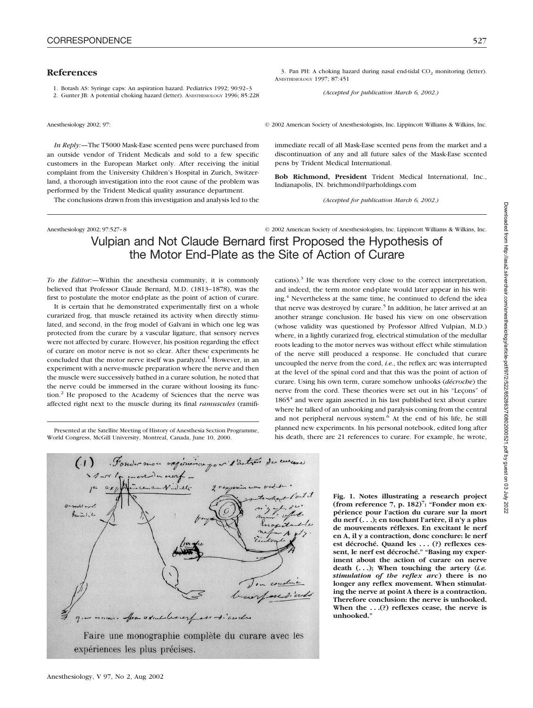# **References**

1. Botash AS: Syringe caps: An aspiration hazard. Pediatrics 1992; 90:92–3

2. Gunter JB: A potential choking hazard (letter). ANESTHESIOLOGY 1996; 85:228

Anesthesiology 2002; 97: © 2002 American Society of Anesthesiologists, Inc. Lippincott Williams & Wilkins, Inc.

immediate recall of all Mask-Ease scented pens from the market and a discontinuation of any and all future sales of the Mask-Ease scented

**Bob Richmond, President** Trident Medical International, Inc.,

*(Accepted for publication March 6, 2002.)*

3. Pan PH: A choking hazard during nasal end-tidal  $CO<sub>2</sub>$  monitoring (letter).

*(Accepted for publication March 6, 2002.)*

*In Reply:—*The T5000 Mask-Ease scented pens were purchased from an outside vendor of Trident Medicals and sold to a few specific customers in the European Market only. After receiving the initial complaint from the University Children's Hospital in Zurich, Switzerland, a thorough investigation into the root cause of the problem was performed by the Trident Medical quality assurance department.

The conclusions drawn from this investigation and analysis led to the

Anesthesiology 2002; 97:527–8 © 2002 American Society of Anesthesiologists, Inc. Lippincott Williams & Wilkins, Inc.

# Vulpian and Not Claude Bernard first Proposed the Hypothesis of the Motor End-Plate as the Site of Action of Curare

ANESTHESIOLOGY 1997; 87:451

pens by Trident Medical International.

Indianapolis, IN. brichmond@parholdings.com

*To the Editor:—*Within the anesthesia community, it is commonly believed that Professor Claude Bernard, M.D. (1813–1878), was the first to postulate the motor end-plate as the point of action of curare.

It is certain that he demonstrated experimentally first on a whole curarized frog, that muscle retained its activity when directly stimulated, and second, in the frog model of Galvani in which one leg was protected from the curare by a vascular ligature, that sensory nerves were not affected by curare. However, his position regarding the effect of curare on motor nerve is not so clear. After these experiments he concluded that the motor nerve itself was paralyzed.<sup>1</sup> However, in an experiment with a nerve-muscle preparation where the nerve and then the muscle were successively bathed in a curare solution, he noted that the nerve could be immersed in the curare without loosing its function.<sup>2</sup> He proposed to the Academy of Sciences that the nerve was affected right next to the muscle during its final *ramuscules* (ramifi-

Presented at the Satellite Meeting of History of Anesthesia Section Programme, World Congress, McGill University, Montreal, Canada, June 10, 2000.



Anesthesiology, V 97, No 2, Aug 2002

cations). $3$  He was therefore very close to the correct interpretation, and indeed, the term motor end-plate would later appear in his writing.<sup>4</sup> Nevertheless at the same time, he continued to defend the idea that nerve was destroyed by curare.<sup>5</sup> In addition, he later arrived at an another strange conclusion. He based his view on one observation (whose validity was questioned by Professor Alfred Vulpian, M.D.) where, in a lightly curarized frog, electrical stimulation of the medullar roots leading to the motor nerves was without effect while stimulation of the nerve still produced a response. He concluded that curare uncoupled the nerve from the cord, *i.e.*, the reflex arc was interrupted at the level of the spinal cord and that this was the point of action of curare. Using his own term, curare somehow unhooks (*décroche*) the nerve from the cord. These theories were set out in his "Leçons" of 1865<sup>4</sup> and were again asserted in his last published text about curare where he talked of an unhooking and paralysis coming from the central and not peripheral nervous system.<sup>6</sup> At the end of his life, he still planned new experiments. In his personal notebook, edited long after his death, there are 21 references to curare. For example, he wrote,

> **Fig. 1. Notes illustrating a research project (from reference 7, p. 182)7 : "Fonder mon expérience pour l'action du curare sur la mort du nerf (. . .); en touchant l'artère, il n'y a plus de mouvements réflexes. En excitant le nerf en A, il y a contraction, donc conclure: le nerf est décroché. Quand les . . . (?) reflexes cessent, le nerf est décroché." "Basing my experiment about the action of curare on nerve death (. . .); When touching the artery (***i.e. stimulation of the reflex arc***) there is no longer any reflex movement. When stimulating the nerve at point A there is a contraction. Therefore conclusion: the nerve is unhooked. When the . . .(?) reflexes cease, the nerve is unhooked."**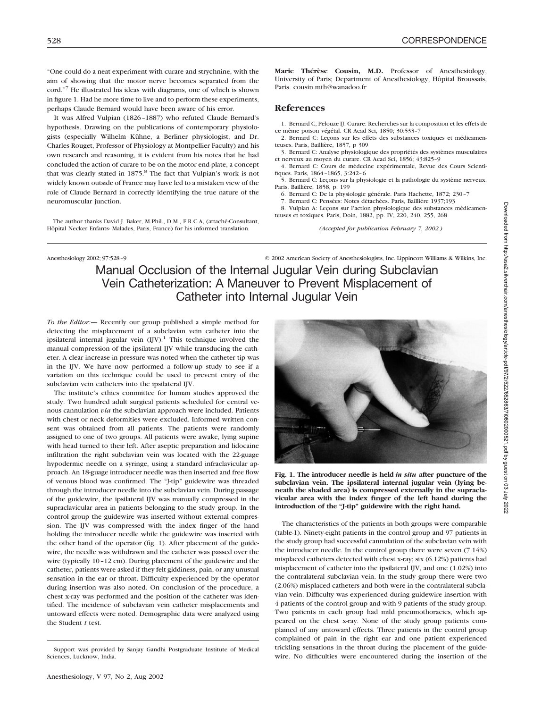"One could do a neat experiment with curare and strychnine, with the aim of showing that the motor nerve becomes separated from the cord."7 He illustrated his ideas with diagrams, one of which is shown in figure 1. Had he more time to live and to perform these experiments, perhaps Claude Bernard would have been aware of his error.

It was Alfred Vulpian (1826–1887) who refuted Claude Bernard's hypothesis. Drawing on the publications of contemporary physiologists (especially Wilhelm Kühne, a Berliner physiologist, and Dr. Charles Rouget, Professor of Physiology at Montpellier Faculty) and his own research and reasoning, it is evident from his notes that he had concluded the action of curare to be on the motor end-plate, a concept that was clearly stated in 1875.<sup>8</sup> The fact that Vulpian's work is not widely known outside of France may have led to a mistaken view of the role of Claude Bernard in correctly identifying the true nature of the neuromuscular junction.

The author thanks David J. Baker, M.Phil., D.M., F.R.C.A, (attaché-Consultant, Hôpital Necker Enfants- Malades, Paris, France) for his informed translation.

**Marie Thérèse Cousin, M.D.** Professor of Anesthesiology, University of Paris; Department of Anesthesiology, Hôpital Broussais, Paris. cousin.mth@wanadoo.fr

## **References**

1. Bernard C, Pelouze IJ: Curare: Recherches sur la composition et les effets de ce même poison végétal. CR Acad Sci, 1850; 30:533–7

2. Bernard C: Leçons sur les effets des substances toxiques et médicamenteuses. Paris, Baillière, 1857, p 309

3. Bernard C: Analyse physiologique des propriétés des systèmes musculaires et nerveux au moyen du curare. CR Acad Sci, 1856; 43:825–9

4. Bernard C: Cours de médecine expérimentale, Revue des Cours Scientifiques. Paris, 1864–1865, 3:242–6

5. Bernard C: Leçons sur la physiologie et la pathologie du système nerveux. Paris, Baillière, 1858, p. 199

6. Bernard C: De la physiologie générale. Paris Hachette, 1872; 230–7

7. Bernard C: Pensées: Notes détachées. Paris, Baillière 1937;193

8. Vulpian A: Leçons sur l'action physiologique des substances médicamenteuses et toxiques. Paris, Doin, 1882, pp. IV, 220, 240, 255, 268

*(Accepted for publication February 7, 2002.)*

Anesthesiology 2002; 97:528-9 © 2002 American Society of Anesthesiologists, Inc. Lippincott Williams & Wilkins, Inc.

Manual Occlusion of the Internal Jugular Vein during Subclavian Vein Catheterization: A Maneuver to Prevent Misplacement of Catheter into Internal Jugular Vein

*To the Editor:—* Recently our group published a simple method for detecting the misplacement of a subclavian vein catheter into the ipsilateral internal jugular vein  $(IIV)$ .<sup>1</sup> This technique involved the manual compression of the ipsilateral IJV while transducing the catheter. A clear increase in pressure was noted when the catheter tip was in the IJV. We have now performed a follow-up study to see if a variation on this technique could be used to prevent entry of the subclavian vein catheters into the ipsilateral IJV.

The institute's ethics committee for human studies approved the study. Two hundred adult surgical patients scheduled for central venous cannulation *via* the subclavian approach were included. Patients with chest or neck deformities were excluded. Informed written consent was obtained from all patients. The patients were randomly assigned to one of two groups. All patients were awake, lying supine with head turned to their left. After aseptic preparation and lidocaine infiltration the right subclavian vein was located with the 22-guage hypodermic needle on a syringe, using a standard infraclavicular approach. An 18-guage introducer needle was then inserted and free flow of venous blood was confirmed. The "J-tip" guidewire was threaded through the introducer needle into the subclavian vein. During passage of the guidewire, the ipsilateral IJV was manually compressed in the supraclavicular area in patients belonging to the study group. In the control group the guidewire was inserted without external compression. The IJV was compressed with the index finger of the hand holding the introducer needle while the guidewire was inserted with the other hand of the operator (fig. 1). After placement of the guidewire, the needle was withdrawn and the catheter was passed over the wire (typically 10–12 cm). During placement of the guidewire and the catheter, patients were asked if they felt giddiness, pain, or any unusual sensation in the ear or throat. Difficulty experienced by the operator during insertion was also noted. On conclusion of the procedure, a chest x-ray was performed and the position of the catheter was identified. The incidence of subclavian vein catheter misplacements and untoward effects were noted. Demographic data were analyzed using the Student *t* test.



**Fig. 1. The introducer needle is held** *in situ* **after puncture of the subclavian vein. The ipsilateral internal jugular vein (lying beneath the shaded area) is compressed externally in the supraclavicular area with the index finger of the left hand during the introduction of the "J-tip" guidewire with the right hand.**

The characteristics of the patients in both groups were comparable (table-1). Ninety-eight patients in the control group and 97 patients in the study group had successful cannulation of the subclavian vein with the introducer needle. In the control group there were seven (7.14%) misplaced catheters detected with chest x-ray; six (6.12%) patients had misplacement of catheter into the ipsilateral IJV, and one (1.02%) into the contralateral subclavian vein. In the study group there were two (2.06%) misplaced catheters and both were in the contralateral subclavian vein. Difficulty was experienced during guidewire insertion with 4 patients of the control group and with 9 patients of the study group. Two patients in each group had mild pneumothoracies, which appeared on the chest x-ray. None of the study group patients complained of any untoward effects. Three patients in the control group complained of pain in the right ear and one patient experienced trickling sensations in the throat during the placement of the guidewire. No difficulties were encountered during the insertion of the

Support was provided by Sanjay Gandhi Postgraduate Institute of Medical Sciences, Lucknow, India.